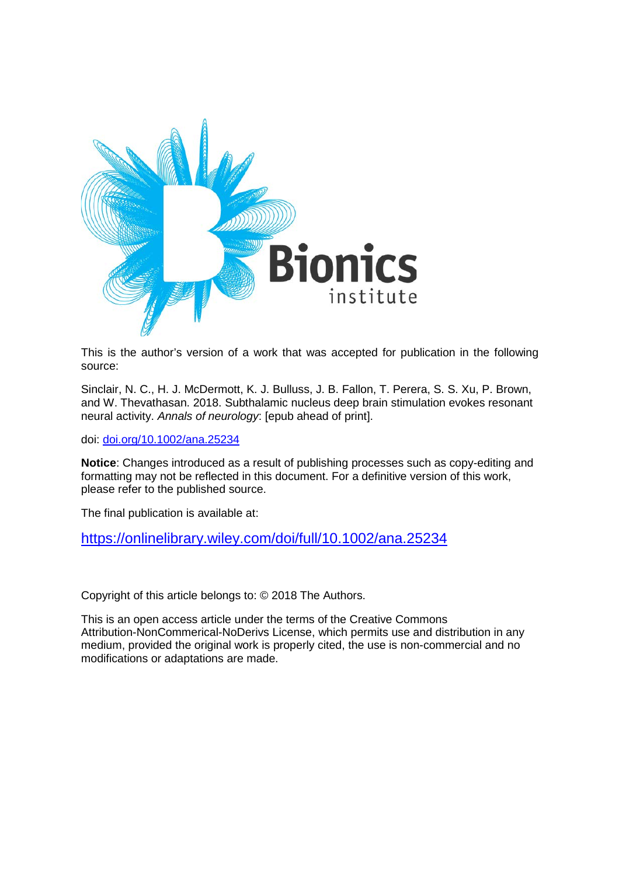

This is the author's version of a work that was accepted for publication in the following source:

Sinclair, N. C., H. J. McDermott, K. J. Bulluss, J. B. Fallon, T. Perera, S. S. Xu, P. Brown, and W. Thevathasan. 2018. Subthalamic nucleus deep brain stimulation evokes resonant neural activity. *Annals of neurology*: [epub ahead of print].

doi: [doi.org/10.1002/ana.25234](https://doi.org/10.1002/ana.25234)

**Notice**: Changes introduced as a result of publishing processes such as copy-editing and formatting may not be reflected in this document. For a definitive version of this work, please refer to the published source.

The final publication is available at:

<https://onlinelibrary.wiley.com/doi/full/10.1002/ana.25234>

Copyright of this article belongs to: © 2018 The Authors.

This is an open access article under the terms of the Creative Commons Attribution-NonCommerical-NoDerivs License, which permits use and distribution in any medium, provided the original work is properly cited, the use is non-commercial and no modifications or adaptations are made.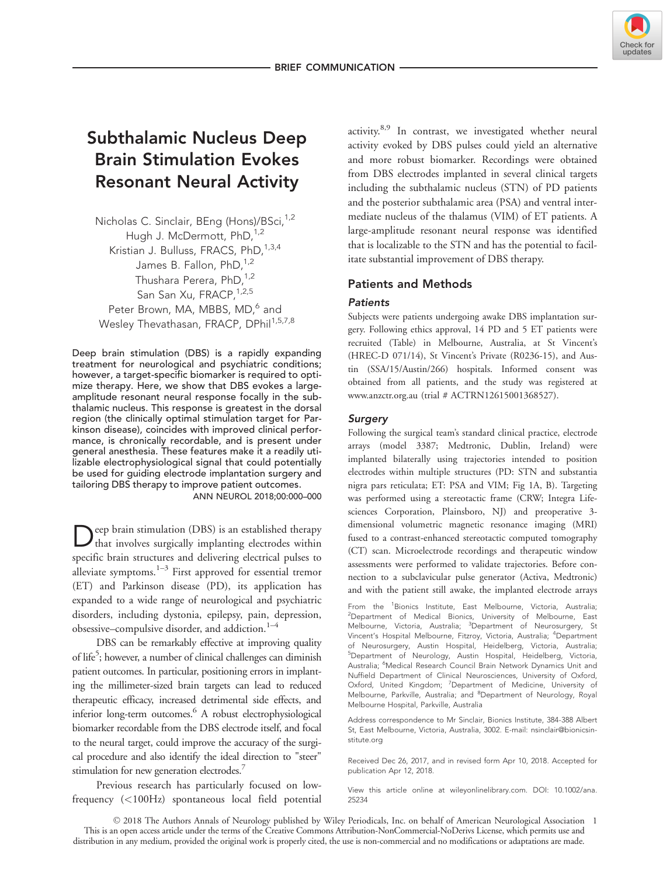

# Subthalamic Nucleus Deep Brain Stimulation Evokes Resonant Neural Activity

Nicholas C. Sinclair, BEng (Hons)/BSci,<sup>1,2</sup> Hugh J. McDermott, PhD, <sup>1,2</sup> Kristian J. Bulluss, FRACS, PhD,<sup>1,3,4</sup> James B. Fallon, PhD, 1,2 Thushara Perera, PhD,<sup>1,2</sup> San San Xu, FRACP, 1,2,5 Peter Brown, MA, MBBS, MD,<sup>6</sup> and Wesley Thevathasan, FRACP, DPhil<sup>1,5,7,8</sup>

Deep brain stimulation (DBS) is a rapidly expanding treatment for neurological and psychiatric conditions; however, a target-specific biomarker is required to optimize therapy. Here, we show that DBS evokes a largeamplitude resonant neural response focally in the subthalamic nucleus. This response is greatest in the dorsal region (the clinically optimal stimulation target for Parkinson disease), coincides with improved clinical performance, is chronically recordable, and is present under general anesthesia. These features make it a readily utilizable electrophysiological signal that could potentially be used for guiding electrode implantation surgery and tailoring DBS therapy to improve patient outcomes. ANN NEUROL 2018;00:000–000

Deep brain stimulation (DBS) is an established therapy that involves surgically implanting electrodes within specific brain structures and delivering electrical pulses to alleviate symptoms. $1-3$  First approved for essential tremor (ET) and Parkinson disease (PD), its application has expanded to a wide range of neurological and psychiatric disorders, including dystonia, epilepsy, pain, depression, obsessive–compulsive disorder, and addiction. $1-4$ 

DBS can be remarkably effective at improving quality of life<sup>5</sup>; however, a number of clinical challenges can diminish patient outcomes. In particular, positioning errors in implanting the millimeter-sized brain targets can lead to reduced therapeutic efficacy, increased detrimental side effects, and inferior long-term outcomes.<sup>6</sup> A robust electrophysiological biomarker recordable from the DBS electrode itself, and focal to the neural target, could improve the accuracy of the surgical procedure and also identify the ideal direction to "steer" stimulation for new generation electrodes.<sup>7</sup>

Previous research has particularly focused on lowfrequency (<100Hz) spontaneous local field potential activity.<sup>8,9</sup> In contrast, we investigated whether neural activity evoked by DBS pulses could yield an alternative and more robust biomarker. Recordings were obtained from DBS electrodes implanted in several clinical targets including the subthalamic nucleus (STN) of PD patients and the posterior subthalamic area (PSA) and ventral intermediate nucleus of the thalamus (VIM) of ET patients. A large-amplitude resonant neural response was identified that is localizable to the STN and has the potential to facilitate substantial improvement of DBS therapy.

## Patients and Methods

## Patients

Subjects were patients undergoing awake DBS implantation surgery. Following ethics approval, 14 PD and 5 ET patients were recruited (Table) in Melbourne, Australia, at St Vincent's (HREC-D 071/14), St Vincent's Private (R0236-15), and Austin (SSA/15/Austin/266) hospitals. Informed consent was obtained from all patients, and the study was registered at www.anzctr.org.au (trial # ACTRN12615001368527).

## **Surgery**

Following the surgical team's standard clinical practice, electrode arrays (model 3387; Medtronic, Dublin, Ireland) were implanted bilaterally using trajectories intended to position electrodes within multiple structures (PD: STN and substantia nigra pars reticulata; ET: PSA and VIM; Fig 1A, B). Targeting was performed using a stereotactic frame (CRW; Integra Lifesciences Corporation, Plainsboro, NJ) and preoperative 3dimensional volumetric magnetic resonance imaging (MRI) fused to a contrast-enhanced stereotactic computed tomography (CT) scan. Microelectrode recordings and therapeutic window assessments were performed to validate trajectories. Before connection to a subclavicular pulse generator (Activa, Medtronic) and with the patient still awake, the implanted electrode arrays

From the <sup>1</sup>Bionics Institute, East Melbourne, Victoria, Australia; <sup>2</sup>Department of Medical Bionics, University of Melbourne, East Melbourne, Victoria, Australia; <sup>3</sup>Department of Neurosurgery, St Vincent's Hospital Melbourne, Fitzroy, Victoria, Australia; <sup>4</sup>Department of Neurosurgery, Austin Hospital, Heidelberg, Victoria, Australia; 5 Department of Neurology, Austin Hospital, Heidelberg, Victoria, Australia; <sup>6</sup>Medical Research Council Brain Network Dynamics Unit and Nuffield Department of Clinical Neurosciences, University of Oxford, Oxford, United Kingdom; <sup>7</sup>Department of Medicine, University of Melbourne, Parkville, Australia; and <sup>8</sup>Department of Neurology, Royal Melbourne Hospital, Parkville, Australia

Address correspondence to Mr Sinclair, Bionics Institute, 384-388 Albert St, East Melbourne, Victoria, Australia, 3002. E-mail: nsinclair@bionicsinstitute.org

Received Dec 26, 2017, and in revised form Apr 10, 2018. Accepted for publication Apr 12, 2018.

View this article online at wileyonlinelibrary.com. DOI: 10.1002/ana. 25234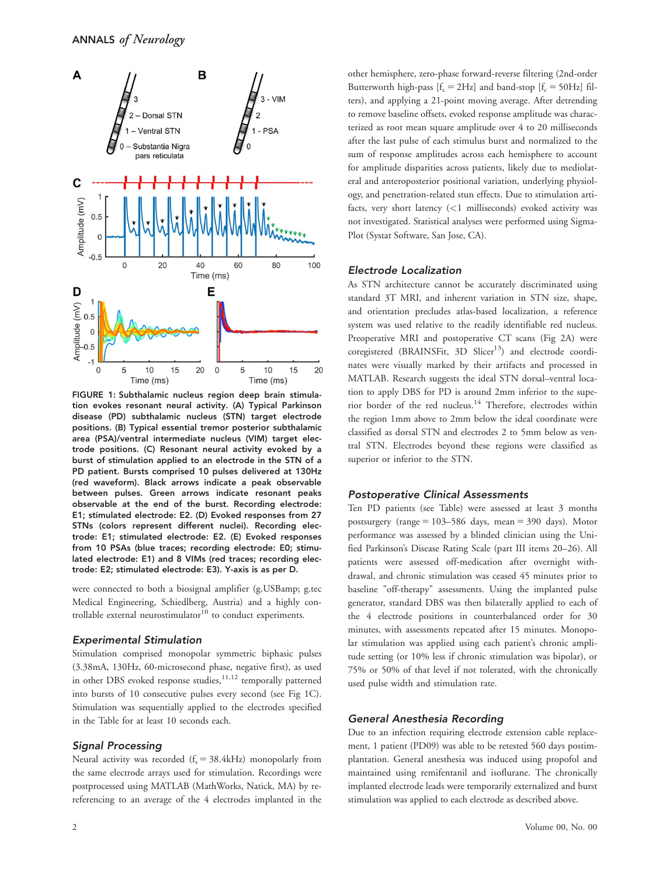

FIGURE 1: Subthalamic nucleus region deep brain stimulation evokes resonant neural activity. (A) Typical Parkinson disease (PD) subthalamic nucleus (STN) target electrode positions. (B) Typical essential tremor posterior subthalamic area (PSA)/ventral intermediate nucleus (VIM) target electrode positions. (C) Resonant neural activity evoked by a burst of stimulation applied to an electrode in the STN of a PD patient. Bursts comprised 10 pulses delivered at 130Hz (red waveform). Black arrows indicate a peak observable between pulses. Green arrows indicate resonant peaks observable at the end of the burst. Recording electrode: E1; stimulated electrode: E2. (D) Evoked responses from 27 STNs (colors represent different nuclei). Recording electrode: E1; stimulated electrode: E2. (E) Evoked responses from 10 PSAs (blue traces; recording electrode: E0; stimulated electrode: E1) and 8 VIMs (red traces; recording electrode: E2; stimulated electrode: E3). Y-axis is as per D.

were connected to both a biosignal amplifier (g.USBamp; g.tec Medical Engineering, Schiedlberg, Austria) and a highly controllable external neurostimulator $10$  to conduct experiments.

#### Experimental Stimulation

Stimulation comprised monopolar symmetric biphasic pulses (3.38mA, 130Hz, 60-microsecond phase, negative first), as used in other DBS evoked response studies,<sup>11,12</sup> temporally patterned into bursts of 10 consecutive pulses every second (see Fig 1C). Stimulation was sequentially applied to the electrodes specified in the Table for at least 10 seconds each.

#### Signal Processing

Neural activity was recorded  $(f_s = 38.4 \text{kHz})$  monopolarly from the same electrode arrays used for stimulation. Recordings were postprocessed using MATLAB (MathWorks, Natick, MA) by rereferencing to an average of the 4 electrodes implanted in the other hemisphere, zero-phase forward-reverse filtering (2nd-order Butterworth high-pass  $[f_c = 2Hz]$  and band-stop  $[f_c = 50Hz]$  filters), and applying a 21-point moving average. After detrending to remove baseline offsets, evoked response amplitude was characterized as root mean square amplitude over 4 to 20 milliseconds after the last pulse of each stimulus burst and normalized to the sum of response amplitudes across each hemisphere to account for amplitude disparities across patients, likely due to mediolateral and anteroposterior positional variation, underlying physiology, and penetration-related stun effects. Due to stimulation artifacts, very short latency (<1 milliseconds) evoked activity was not investigated. Statistical analyses were performed using Sigma-Plot (Systat Software, San Jose, CA).

#### Electrode Localization

As STN architecture cannot be accurately discriminated using standard 3T MRI, and inherent variation in STN size, shape, and orientation precludes atlas-based localization, a reference system was used relative to the readily identifiable red nucleus. Preoperative MRI and postoperative CT scans (Fig 2A) were coregistered (BRAINSFit, 3D Slicer<sup>13</sup>) and electrode coordinates were visually marked by their artifacts and processed in MATLAB. Research suggests the ideal STN dorsal–ventral location to apply DBS for PD is around 2mm inferior to the superior border of the red nucleus.<sup>14</sup> Therefore, electrodes within the region 1mm above to 2mm below the ideal coordinate were classified as dorsal STN and electrodes 2 to 5mm below as ventral STN. Electrodes beyond these regions were classified as superior or inferior to the STN.

#### Postoperative Clinical Assessments

Ten PD patients (see Table) were assessed at least 3 months postsurgery (range  $= 103-586$  days, mean  $= 390$  days). Motor performance was assessed by a blinded clinician using the Unified Parkinson's Disease Rating Scale (part III items 20–26). All patients were assessed off-medication after overnight withdrawal, and chronic stimulation was ceased 45 minutes prior to baseline "off-therapy" assessments. Using the implanted pulse generator, standard DBS was then bilaterally applied to each of the 4 electrode positions in counterbalanced order for 30 minutes, with assessments repeated after 15 minutes. Monopolar stimulation was applied using each patient's chronic amplitude setting (or 10% less if chronic stimulation was bipolar), or 75% or 50% of that level if not tolerated, with the chronically used pulse width and stimulation rate.

#### General Anesthesia Recording

Due to an infection requiring electrode extension cable replacement, 1 patient (PD09) was able to be retested 560 days postimplantation. General anesthesia was induced using propofol and maintained using remifentanil and isoflurane. The chronically implanted electrode leads were temporarily externalized and burst stimulation was applied to each electrode as described above.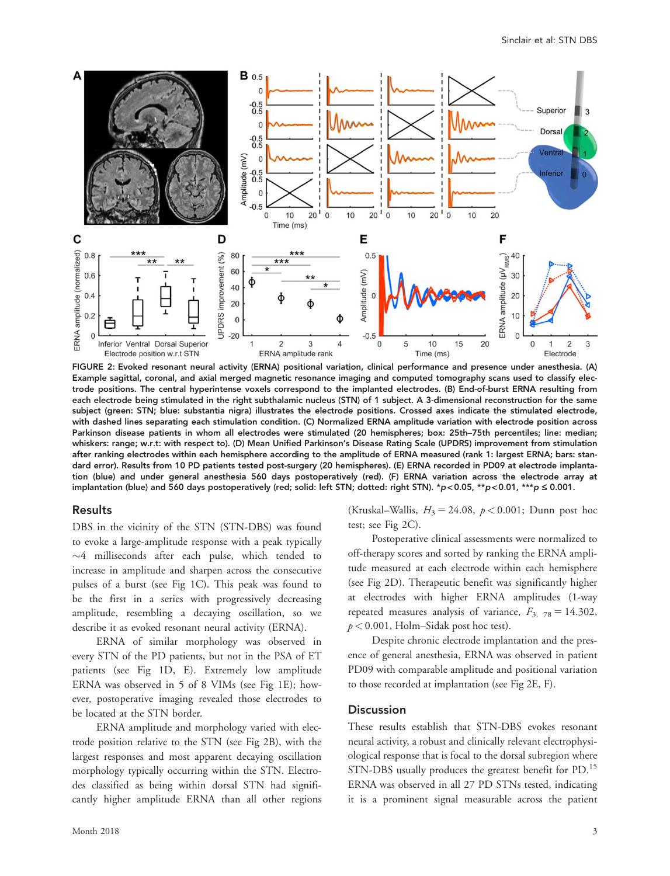

FIGURE 2: Evoked resonant neural activity (ERNA) positional variation, clinical performance and presence under anesthesia. (A) Example sagittal, coronal, and axial merged magnetic resonance imaging and computed tomography scans used to classify electrode positions. The central hyperintense voxels correspond to the implanted electrodes. (B) End-of-burst ERNA resulting from each electrode being stimulated in the right subthalamic nucleus (STN) of 1 subject. A 3-dimensional reconstruction for the same subject (green: STN; blue: substantia nigra) illustrates the electrode positions. Crossed axes indicate the stimulated electrode, with dashed lines separating each stimulation condition. (C) Normalized ERNA amplitude variation with electrode position across Parkinson disease patients in whom all electrodes were stimulated (20 hemispheres; box: 25th–75th percentiles; line: median; whiskers: range; w.r.t: with respect to). (D) Mean Unified Parkinson's Disease Rating Scale (UPDRS) improvement from stimulation after ranking electrodes within each hemisphere according to the amplitude of ERNA measured (rank 1: largest ERNA; bars: standard error). Results from 10 PD patients tested post-surgery (20 hemispheres). (E) ERNA recorded in PD09 at electrode implantation (blue) and under general anesthesia 560 days postoperatively (red). (F) ERNA variation across the electrode array at implantation (blue) and 560 days postoperatively (red; solid: left STN; dotted: right STN). \*p<0.05, \*\*p<0.01, \*\*\*p  $\leq$  0.001.

#### Results

DBS in the vicinity of the STN (STN-DBS) was found to evoke a large-amplitude response with a peak typically  $\sim$ 4 milliseconds after each pulse, which tended to increase in amplitude and sharpen across the consecutive pulses of a burst (see Fig 1C). This peak was found to be the first in a series with progressively decreasing amplitude, resembling a decaying oscillation, so we describe it as evoked resonant neural activity (ERNA).

ERNA of similar morphology was observed in every STN of the PD patients, but not in the PSA of ET patients (see Fig 1D, E). Extremely low amplitude ERNA was observed in 5 of 8 VIMs (see Fig 1E); however, postoperative imaging revealed those electrodes to be located at the STN border.

ERNA amplitude and morphology varied with electrode position relative to the STN (see Fig 2B), with the largest responses and most apparent decaying oscillation morphology typically occurring within the STN. Electrodes classified as being within dorsal STN had significantly higher amplitude ERNA than all other regions

Month 2018  $\overline{3}$ 

(Kruskal–Wallis,  $H_3 = 24.08$ ,  $p < 0.001$ ; Dunn post hoc test; see Fig 2C).

Postoperative clinical assessments were normalized to off-therapy scores and sorted by ranking the ERNA amplitude measured at each electrode within each hemisphere (see Fig 2D). Therapeutic benefit was significantly higher at electrodes with higher ERNA amplitudes (1-way repeated measures analysis of variance,  $F_{3, 78} = 14.302$ ,  $p < 0.001$ , Holm–Sidak post hoc test).

Despite chronic electrode implantation and the presence of general anesthesia, ERNA was observed in patient PD09 with comparable amplitude and positional variation to those recorded at implantation (see Fig 2E, F).

#### **Discussion**

These results establish that STN-DBS evokes resonant neural activity, a robust and clinically relevant electrophysiological response that is focal to the dorsal subregion where STN-DBS usually produces the greatest benefit for PD.<sup>15</sup> ERNA was observed in all 27 PD STNs tested, indicating it is a prominent signal measurable across the patient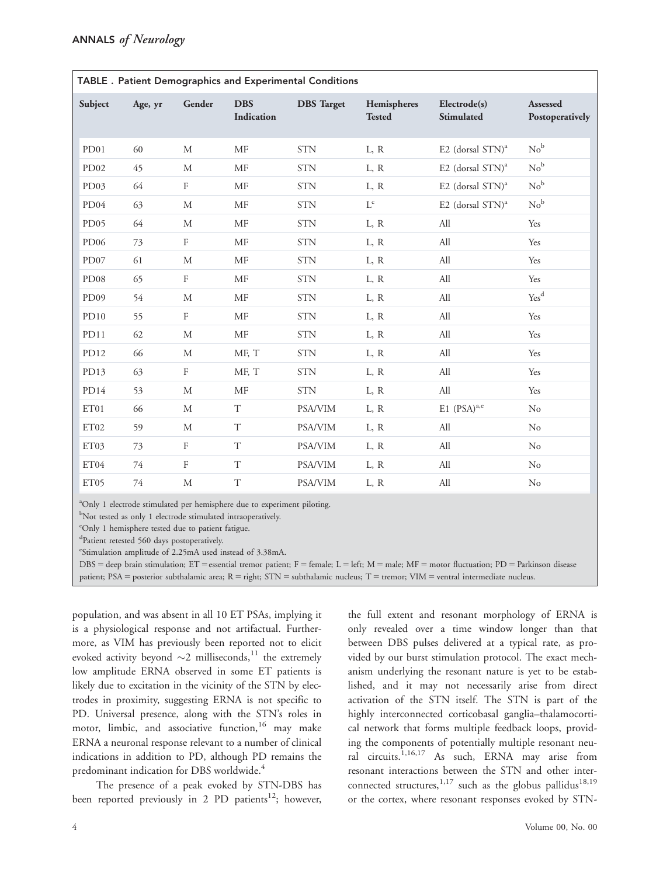| <b>TABLE</b> . Patient Demographics and Experimental Conditions |         |                  |                          |                   |                              |                                 |                             |
|-----------------------------------------------------------------|---------|------------------|--------------------------|-------------------|------------------------------|---------------------------------|-----------------------------|
| Subject                                                         | Age, yr | Gender           | <b>DBS</b><br>Indication | <b>DBS</b> Target | Hemispheres<br><b>Tested</b> | Electrode(s)<br>Stimulated      | Assessed<br>Postoperatively |
| PD <sub>01</sub>                                                | 60      | M                | <b>MF</b>                | <b>STN</b>        | L, R                         | E2 (dorsal $STN$ ) <sup>a</sup> | No <sup>b</sup>             |
| PD <sub>02</sub>                                                | 45      | $\mathbf{M}$     | MF                       | <b>STN</b>        | L, R                         | E2 (dorsal $STN$ ) <sup>a</sup> | No <sup>b</sup>             |
| PD <sub>03</sub>                                                | 64      | $\rm F$          | <b>MF</b>                | <b>STN</b>        | L, R                         | E2 (dorsal STN) <sup>a</sup>    | No <sup>b</sup>             |
| PD04                                                            | 63      | $\mathbf{M}$     | MF                       | <b>STN</b>        | $\mathbf{L}^\mathrm{c}$      | E2 (dorsal $STN$ ) <sup>a</sup> | No <sup>b</sup>             |
| PD <sub>05</sub>                                                | 64      | M                | MF                       | <b>STN</b>        | L, R                         | All                             | Yes                         |
| PD <sub>06</sub>                                                | 73      | $\rm F$          | MF                       | <b>STN</b>        | L, R                         | All                             | Yes                         |
| PD07                                                            | 61      | M                | MF                       | <b>STN</b>        | L, R                         | All                             | Yes                         |
| PD <sub>08</sub>                                                | 65      | $\rm F$          | MF                       | <b>STN</b>        | L, R                         | All                             | Yes                         |
| PD <sub>09</sub>                                                | 54      | $\mathbf M$      | MF                       | <b>STN</b>        | L, R                         | All                             | Yes <sup>d</sup>            |
| PD10                                                            | 55      | $\mathbf{F}$     | MF                       | <b>STN</b>        | L, R                         | All                             | Yes                         |
| PD11                                                            | 62      | M                | MF                       | <b>STN</b>        | L, R                         | All                             | Yes                         |
| PD <sub>12</sub>                                                | 66      | $\mathbf{M}$     | MF, T                    | <b>STN</b>        | L, R                         | All                             | Yes                         |
| PD13                                                            | 63      | $\rm F$          | MF, T                    | <b>STN</b>        | L, R                         | All                             | Yes                         |
| PD14                                                            | 53      | $\mathbf{M}$     | MF                       | <b>STN</b>        | L, R                         | All                             | Yes                         |
| ET01                                                            | 66      | M                | T                        | PSA/VIM           | L, R                         | $E1$ (PSA) <sup>a,e</sup>       | No                          |
| ET02                                                            | 59      | М                | $\mathbf T$              | PSA/VIM           | L, R                         | All                             | No                          |
| ET03                                                            | 73      | $\rm F$          | $\mathbf T$              | <b>PSA/VIM</b>    | L, R                         | All                             | No                          |
| ET04                                                            | 74      | $\boldsymbol{F}$ | T                        | PSA/VIM           | L, R                         | All                             | No                          |
| ET05                                                            | 74      | М                | $\rm T$                  | <b>PSA/VIM</b>    | L, R                         | All                             | No                          |

| TABLE . Patient Demographics and Experimental Conditions |  |  |
|----------------------------------------------------------|--|--|
|----------------------------------------------------------|--|--|

<sup>a</sup>Only 1 electrode stimulated per hemisphere due to experiment piloting.

<sup>b</sup>Not tested as only 1 electrode stimulated intraoperatively.

<sup>c</sup>Only 1 hemisphere tested due to patient fatigue.

d Patient retested 560 days postoperatively.

e Stimulation amplitude of 2.25mA used instead of 3.38mA.

DBS = deep brain stimulation; ET = essential tremor patient; F = female; L = left; M = male; MF = motor fluctuation; PD = Parkinson disease patient; PSA = posterior subthalamic area;  $R =$  right; STN = subthalamic nucleus;  $T =$  tremor; VIM = ventral intermediate nucleus.

population, and was absent in all 10 ET PSAs, implying it is a physiological response and not artifactual. Furthermore, as VIM has previously been reported not to elicit evoked activity beyond  $\sim$ 2 milliseconds,  $^{11}$  the extremely low amplitude ERNA observed in some ET patients is likely due to excitation in the vicinity of the STN by electrodes in proximity, suggesting ERNA is not specific to PD. Universal presence, along with the STN's roles in motor, limbic, and associative function,<sup>16</sup> may make ERNA a neuronal response relevant to a number of clinical indications in addition to PD, although PD remains the predominant indication for DBS worldwide.<sup>4</sup>

The presence of a peak evoked by STN-DBS has been reported previously in 2 PD patients<sup>12</sup>; however,

the full extent and resonant morphology of ERNA is only revealed over a time window longer than that between DBS pulses delivered at a typical rate, as provided by our burst stimulation protocol. The exact mechanism underlying the resonant nature is yet to be established, and it may not necessarily arise from direct activation of the STN itself. The STN is part of the highly interconnected corticobasal ganglia–thalamocortical network that forms multiple feedback loops, providing the components of potentially multiple resonant neural circuits.1,16,17 As such, ERNA may arise from resonant interactions between the STN and other interconnected structures,  $1,17$  such as the globus pallidus<sup>18,19</sup> or the cortex, where resonant responses evoked by STN-